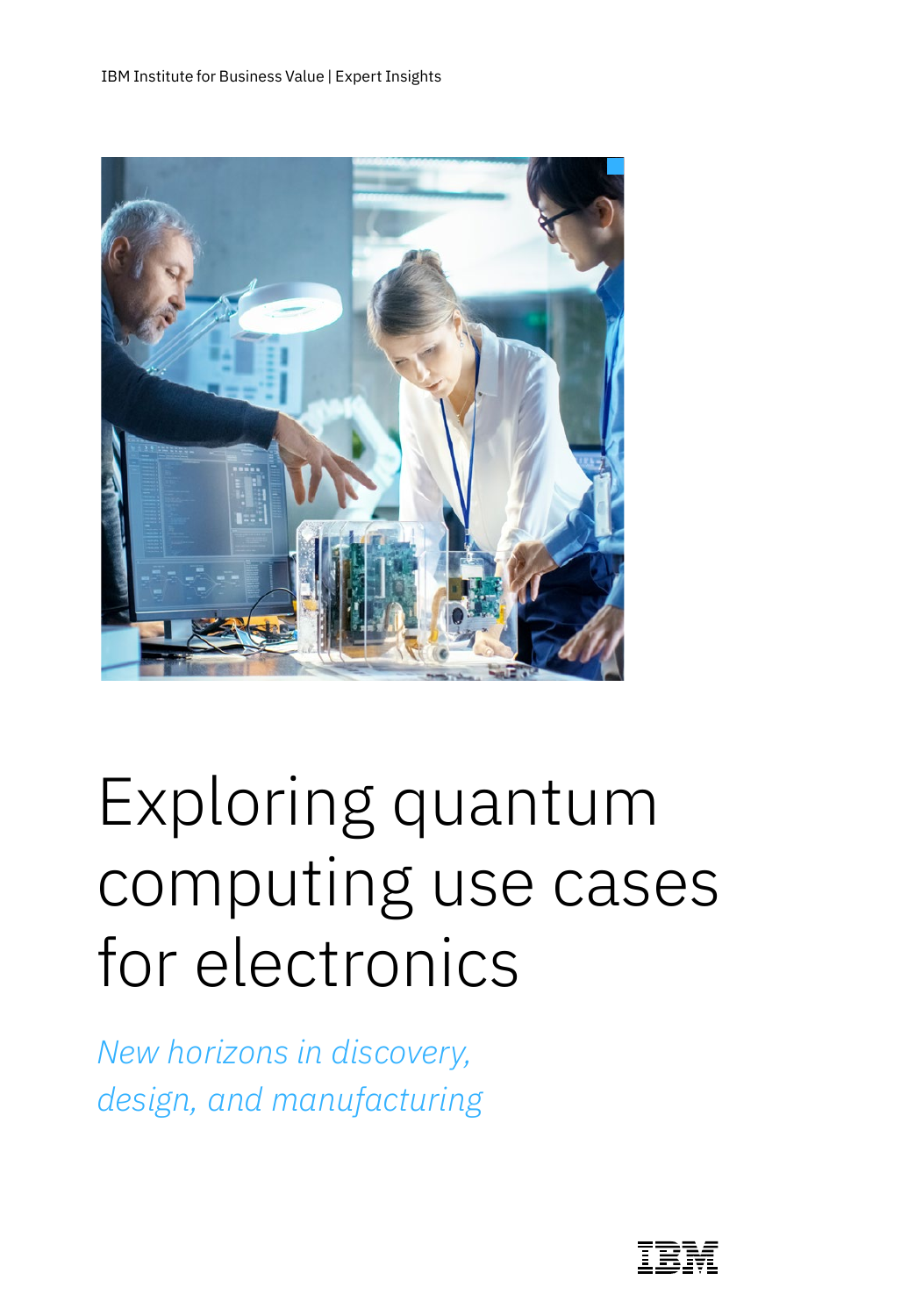

# Exploring quantum computing use cases for electronics

*New horizons in discovery, design, and manufacturing* 

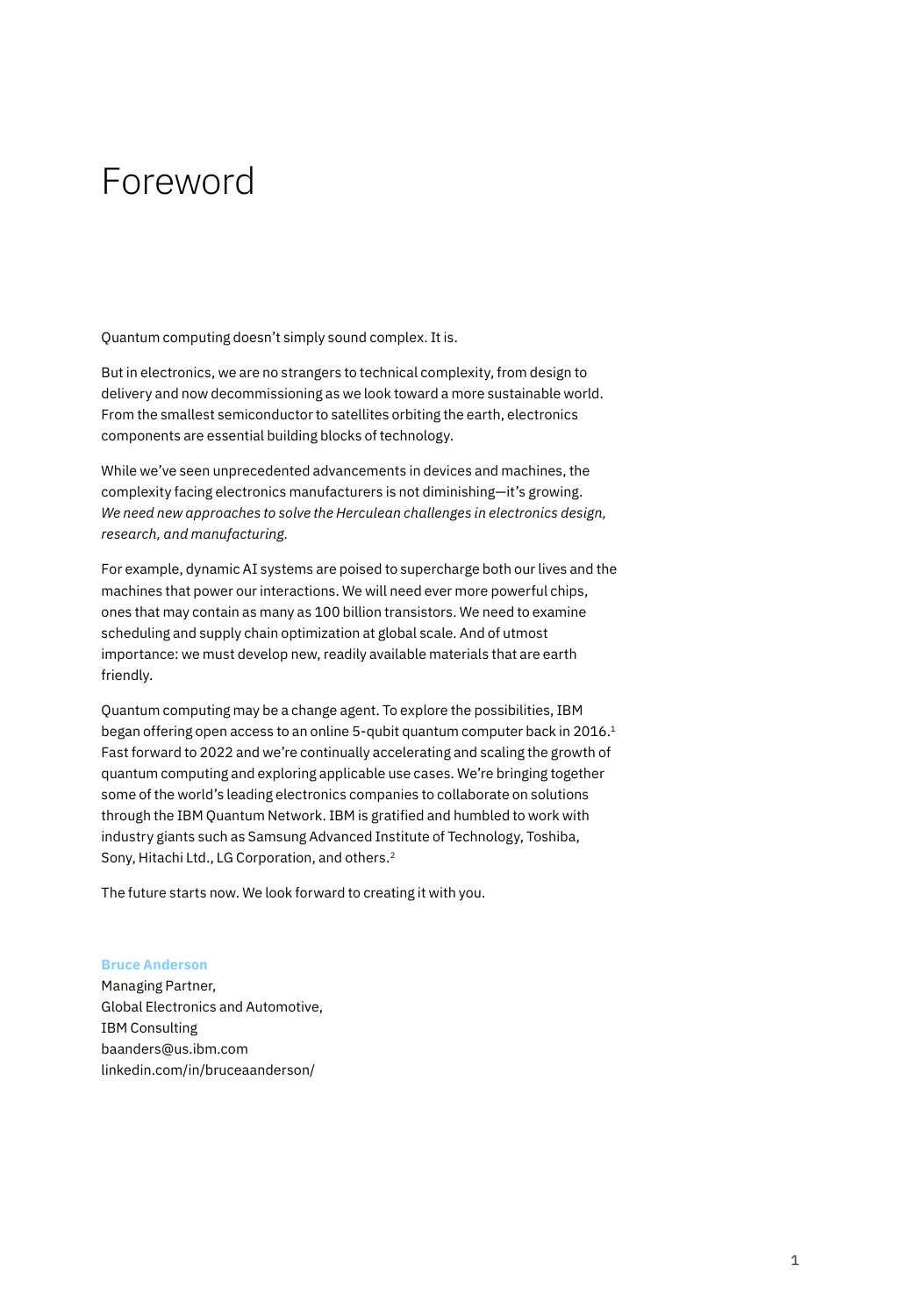# Foreword

Quantum computing doesn't simply sound complex. It is.

But in electronics, we are no strangers to technical complexity, from design to delivery and now decommissioning as we look toward a more sustainable world. From the smallest semiconductor to satellites orbiting the earth, electronics components are essential building blocks of technology.

While we've seen unprecedented advancements in devices and machines, the complexity facing electronics manufacturers is not diminishing—it's growing. *We need new approaches to solve the Herculean challenges in electronics design, research, and manufacturing.*

For example, dynamic AI systems are poised to supercharge both our lives and the machines that power our interactions. We will need ever more powerful chips, ones that may contain as many as 100 billion transistors. We need to examine scheduling and supply chain optimization at global scale. And of utmost importance: we must develop new, readily available materials that are earth friendly.

Quantum computing may be a change agent. To explore the possibilities, IBM began offering open access to an online 5-qubit quantum computer back in 2016.<sup>1</sup> Fast forward to 2022 and we're continually accelerating and scaling the growth of quantum computing and exploring applicable use cases. We're bringing together some of the world's leading electronics companies to collaborate on solutions through the IBM Quantum Network. IBM is gratified and humbled to work with industry giants such as Samsung Advanced Institute of Technology, Toshiba, Sony, Hitachi Ltd., LG Corporation, and others.2

The future starts now. We look forward to creating it with you.

#### **Bruce Anderson**

Managing Partner, Global Electronics and Automotive, IBM Consulting [baanders@us.ibm.com](mailto:baanders@us.ibm.com) [linkedin.com/in/bruceaanderson/](https://www.linkedin.com/in/bruceaanderson/)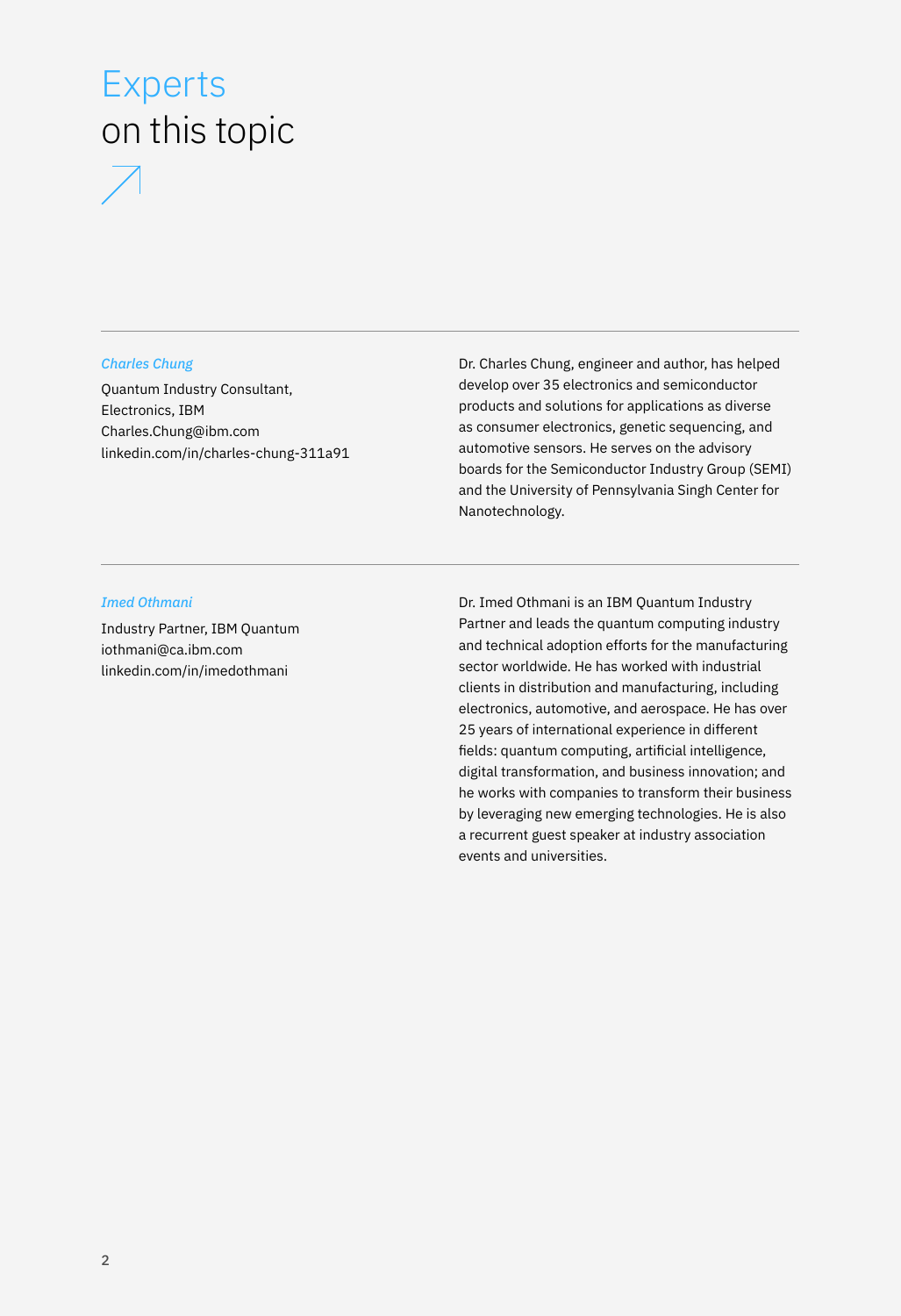# Experts on this topic



#### *Charles Chung*

Quantum Industry Consultant, Electronics, IBM [Charles.Chung@ibm.com](mailto:Charles.Chung@ibm.com) [linkedin.com/in/charles-chung-311a91](http://linkedin.com/in/charles-chung-311a91) Dr. Charles Chung, engineer and author, has helped develop over 35 electronics and semiconductor products and solutions for applications as diverse as consumer electronics, genetic sequencing, and automotive sensors. He serves on the advisory boards for the Semiconductor Industry Group (SEMI) and the University of Pennsylvania Singh Center for Nanotechnology.

#### *Imed Othmani*

Industry Partner, IBM Quantum [iothmani@ca.ibm.com](mailto:iothmani@ca.ibm.com) [linkedin.com/in/imedothmani](http://linkedin.com/in/imedothmani)

Dr. Imed Othmani is an IBM Quantum Industry Partner and leads the quantum computing industry and technical adoption efforts for the manufacturing sector worldwide. He has worked with industrial clients in distribution and manufacturing, including electronics, automotive, and aerospace. He has over 25 years of international experience in different fields: quantum computing, artificial intelligence, digital transformation, and business innovation; and he works with companies to transform their business by leveraging new emerging technologies. He is also a recurrent guest speaker at industry association events and universities.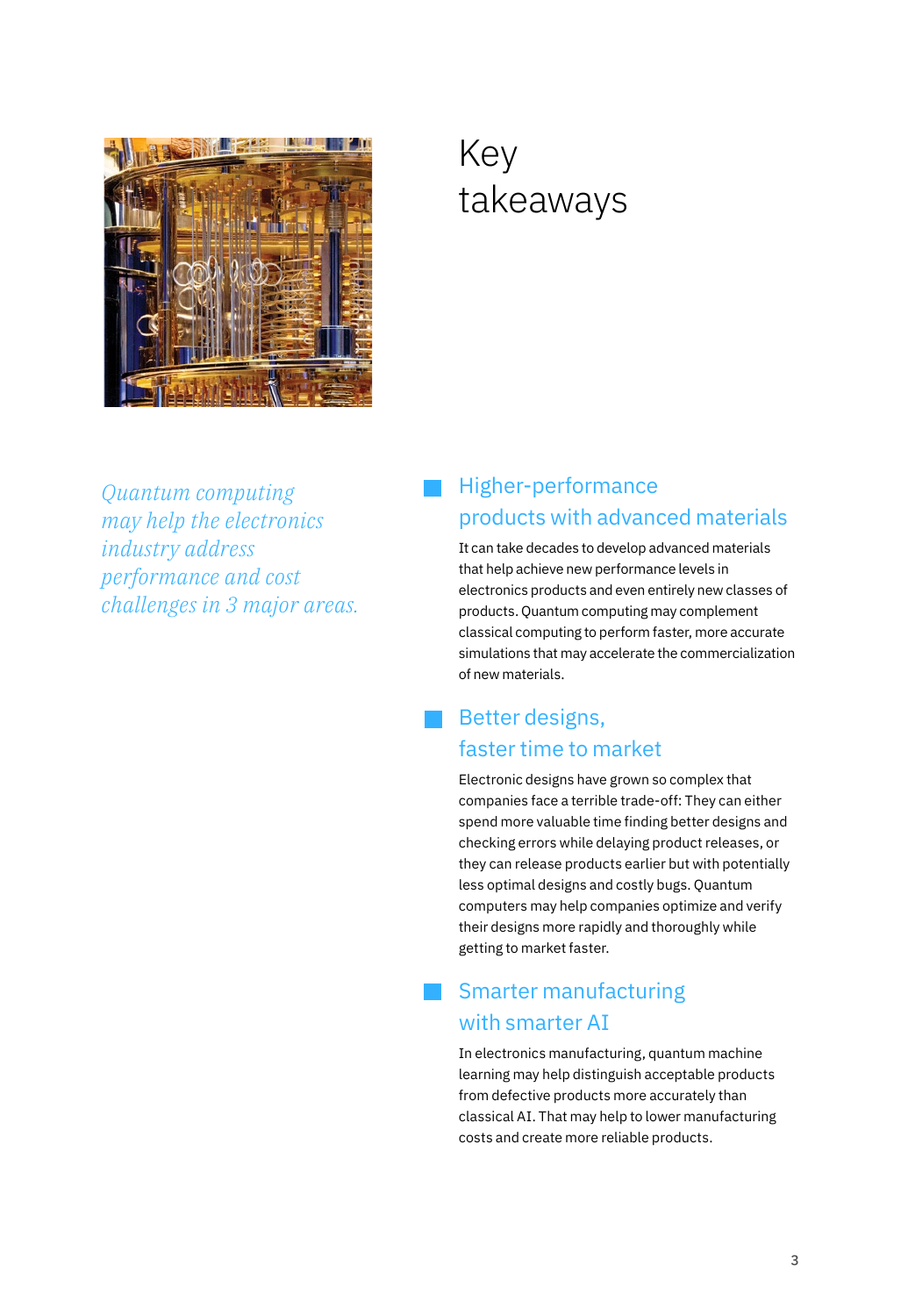

# Key takeaways

*Quantum computing may help the electronics industry address performance and cost challenges in 3 major areas.*

## Higher-performance products with advanced materials

It can take decades to develop advanced materials that help achieve new performance levels in electronics products and even entirely new classes of products. Quantum computing may complement classical computing to perform faster, more accurate simulations that may accelerate the commercialization of new materials.

### Better designs, faster time to market

Electronic designs have grown so complex that companies face a terrible trade-off: They can either spend more valuable time finding better designs and checking errors while delaying product releases, or they can release products earlier but with potentially less optimal designs and costly bugs. Quantum computers may help companies optimize and verify their designs more rapidly and thoroughly while getting to market faster.

### Smarter manufacturing with smarter AI

In electronics manufacturing, quantum machine learning may help distinguish acceptable products from defective products more accurately than classical AI. That may help to lower manufacturing costs and create more reliable products.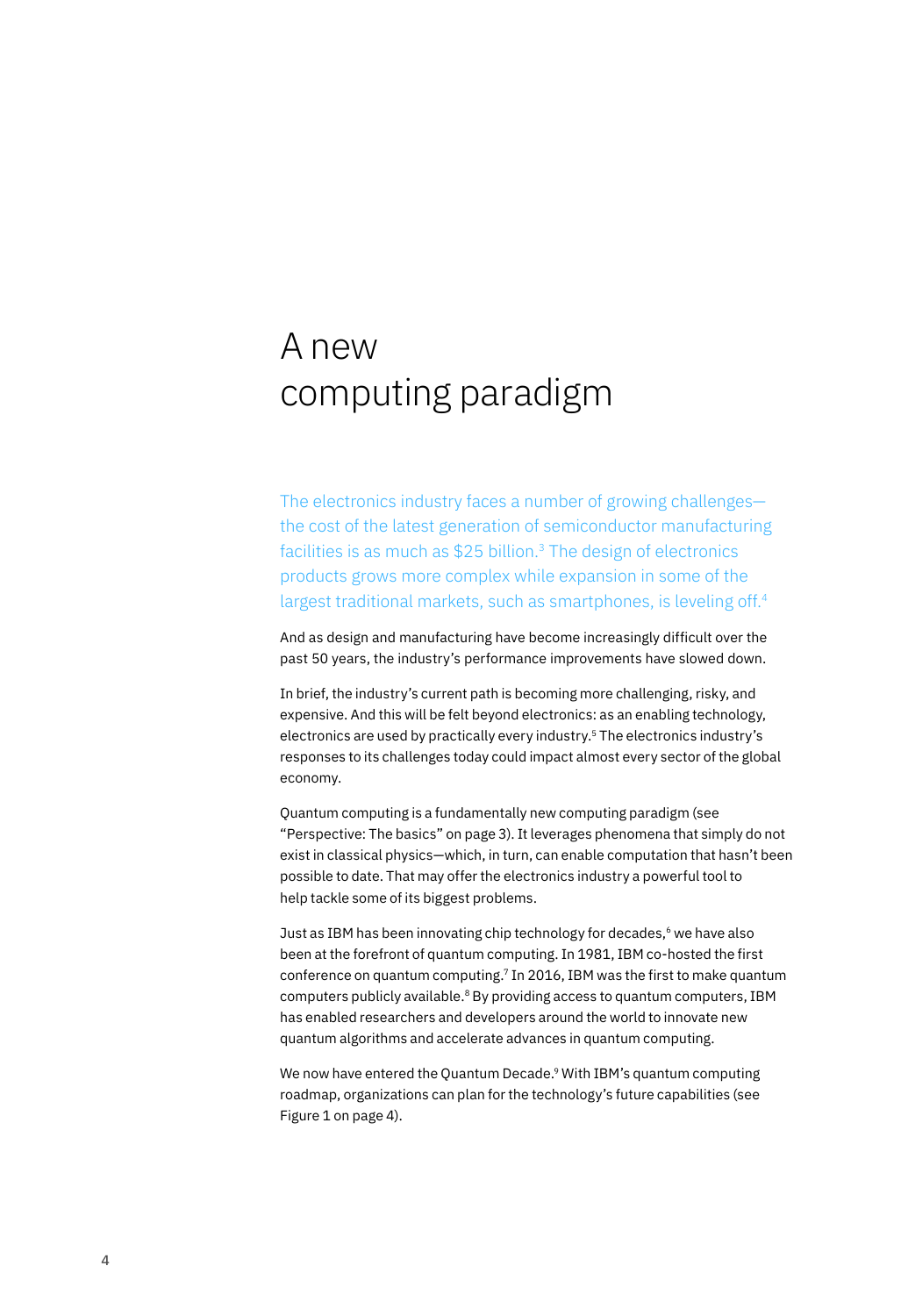# A new computing paradigm

The electronics industry faces a number of growing challenges the cost of the latest generation of semiconductor manufacturing facilities is as much as  $$25$  billion.<sup>3</sup> The design of electronics products grows more complex while expansion in some of the largest traditional markets, such as smartphones, is leveling off.<sup>4</sup>

And as design and manufacturing have become increasingly difficult over the past 50 years, the industry's performance improvements have slowed down.

In brief, the industry's current path is becoming more challenging, risky, and expensive. And this will be felt beyond electronics: as an enabling technology, electronics are used by practically every industry.5 The electronics industry's responses to its challenges today could impact almost every sector of the global economy.

Quantum computing is a fundamentally new computing paradigm (see "Perspective: The basics" on page 3). It leverages phenomena that simply do not exist in classical physics—which, in turn, can enable computation that hasn't been possible to date. That may offer the electronics industry a powerful tool to help tackle some of its biggest problems.

Just as IBM has been innovating chip technology for decades,<sup>6</sup> we have also been at the forefront of quantum computing. In 1981, IBM co-hosted the first conference on quantum computing.7 In 2016, IBM was the first to make quantum computers publicly available.<sup>8</sup> By providing access to quantum computers, IBM has enabled researchers and developers around the world to innovate new quantum algorithms and accelerate advances in quantum computing.

We now have entered the Quantum Decade.<sup>9</sup> With IBM's quantum computing roadmap, organizations can plan for the technology's future capabilities (see Figure 1 on page 4).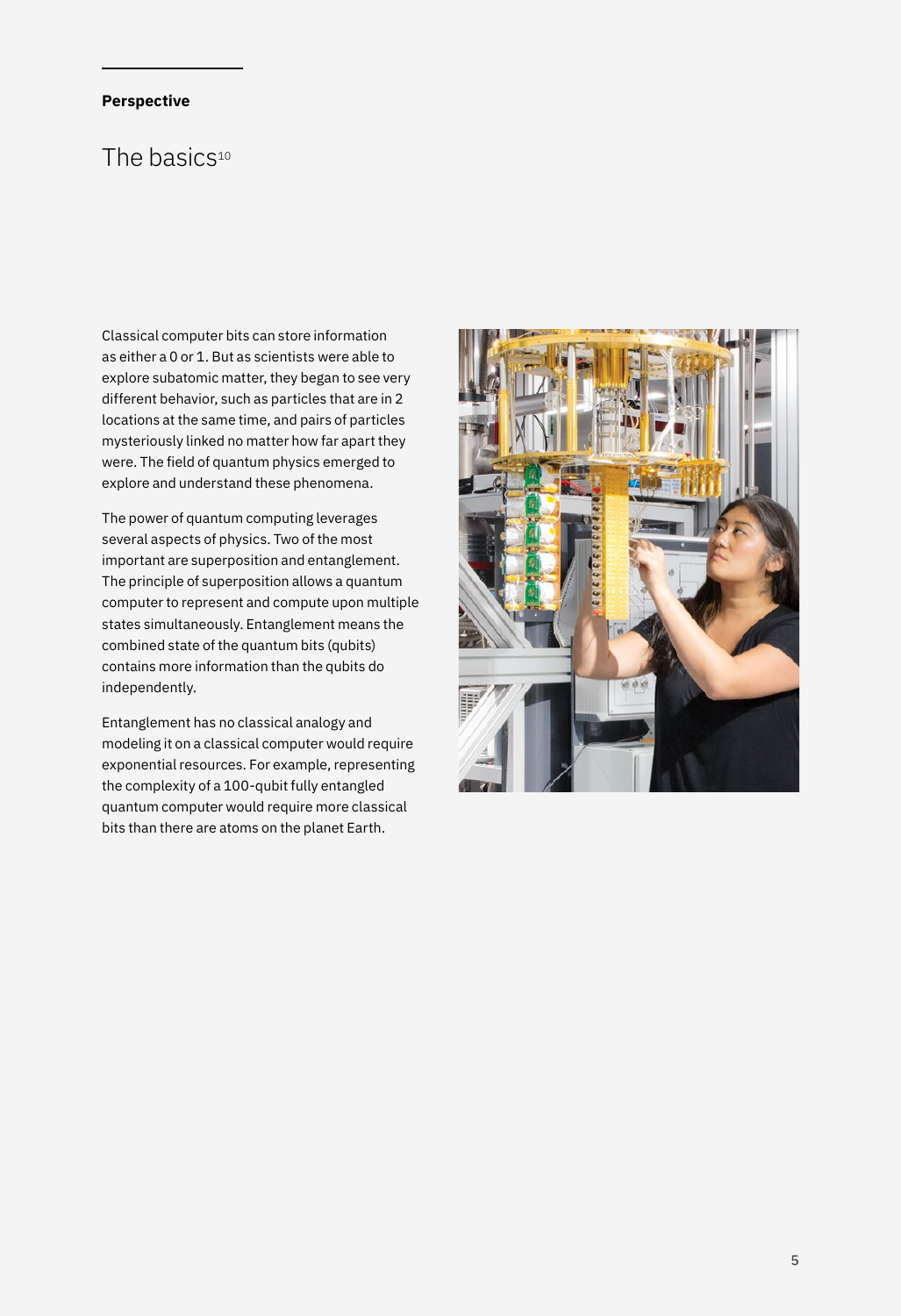# *(14/18) Rethinking trading*  **Perspective**

### *floor operations and ways of working is a necessity.* The basics10

Classical computer bits can store information as either a 0 or 1. But as scientists were able to explore subatomic matter, they began to see very different behavior, such as particles that are in 2 locations at the same time, and pairs of particles mysteriously linked no matter how far apart they were. The field of quantum physics emerged to explore and understand these phenomena.

The power of quantum computing leverages several aspects of physics. Two of the most important are superposition and entanglement. The principle of superposition allows a quantum computer to represent and compute upon multiple states simultaneously. Entanglement means the combined state of the quantum bits (qubits) contains more information than the qubits do independently.

Entanglement has no classical analogy and modeling it on a classical computer would require exponential resources. For example, representing the complexity of a 100-qubit fully entangled quantum computer would require more classical bits than there are atoms on the planet Earth.

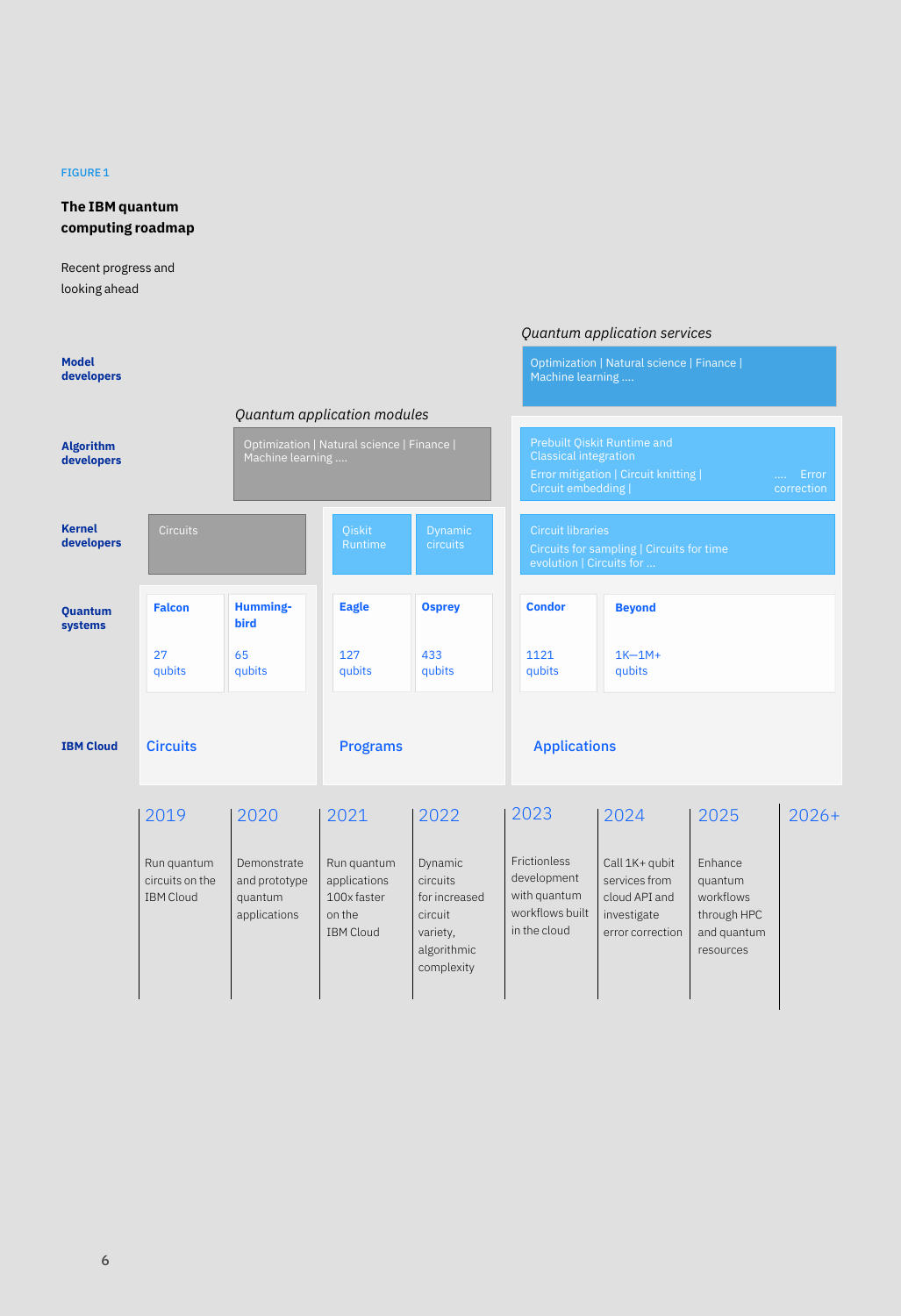#### FIGURE 1

### **The IBM quantum computing roadmap**

Recent progress and looking ahead

|                                |                                                    |                                                         |                                                                          | Quantum application services                                                                    |                                                                                       |                                                                                                                                                    |                                                                            |         |
|--------------------------------|----------------------------------------------------|---------------------------------------------------------|--------------------------------------------------------------------------|-------------------------------------------------------------------------------------------------|---------------------------------------------------------------------------------------|----------------------------------------------------------------------------------------------------------------------------------------------------|----------------------------------------------------------------------------|---------|
| <b>Model</b><br>developers     |                                                    |                                                         |                                                                          |                                                                                                 | Optimization   Natural science   Finance  <br>Machine learning                        |                                                                                                                                                    |                                                                            |         |
|                                |                                                    |                                                         | Quantum application modules                                              |                                                                                                 |                                                                                       |                                                                                                                                                    |                                                                            |         |
| <b>Algorithm</b><br>developers | Machine learning                                   |                                                         | Optimization   Natural science   Finance                                 |                                                                                                 |                                                                                       | Prebuilt Qiskit Runtime and<br><b>Classical integration</b><br>Error mitigation   Circuit knitting  <br>Error<br>Circuit embedding  <br>correction |                                                                            |         |
| <b>Kernel</b><br>developers    | <b>Circuits</b>                                    |                                                         | Qiskit<br>Runtime                                                        | <b>Dynamic</b><br>circuits                                                                      |                                                                                       | <b>Circuit libraries</b><br>Circuits for sampling   Circuits for time<br>evolution   Circuits for                                                  |                                                                            |         |
| <b>Quantum</b><br>systems      | <b>Falcon</b>                                      | Humming-<br><b>bird</b>                                 | <b>Eagle</b>                                                             | <b>Osprey</b>                                                                                   | <b>Condor</b>                                                                         | <b>Beyond</b>                                                                                                                                      |                                                                            |         |
|                                | 27<br>qubits                                       | 65<br>qubits                                            | 127<br>qubits                                                            | 433<br>qubits                                                                                   | 1121<br>qubits                                                                        | $1K-1M+$<br>qubits                                                                                                                                 |                                                                            |         |
| <b>IBM Cloud</b>               | <b>Circuits</b>                                    |                                                         | <b>Programs</b>                                                          |                                                                                                 | <b>Applications</b>                                                                   |                                                                                                                                                    |                                                                            |         |
|                                | 2019                                               | 2020                                                    | 2021                                                                     | 2022                                                                                            | 2023                                                                                  | 2024                                                                                                                                               | 2025                                                                       | $2026+$ |
|                                | Run quantum<br>circuits on the<br><b>IBM Cloud</b> | Demonstrate<br>and prototype<br>quantum<br>applications | Run quantum<br>applications<br>100x faster<br>on the<br><b>IBM Cloud</b> | Dynamic<br><i>circuits</i><br>for increased<br>circuit<br>variety,<br>algorithmic<br>complexity | <b>Frictionless</b><br>development<br>with quantum<br>workflows built<br>in the cloud | Call 1K+ qubit<br>services from<br>cloud API and<br>investigate<br>error correction                                                                | Enhance<br>quantum<br>workflows<br>through HPC<br>and quantum<br>resources |         |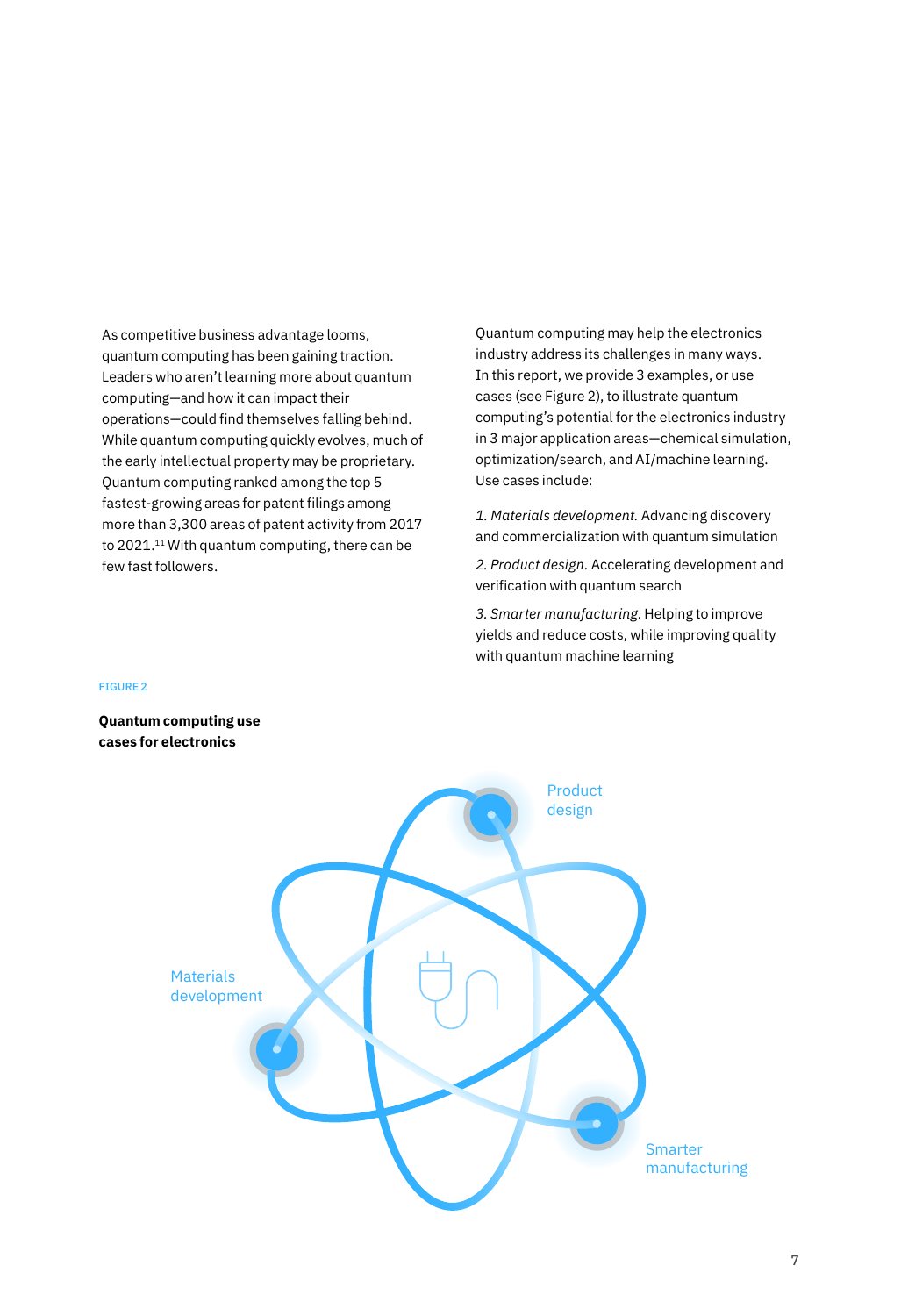As competitive business advantage looms, quantum computing has been gaining traction. Leaders who aren't learning more about quantum computing—and how it can impact their operations—could find themselves falling behind. While quantum computing quickly evolves, much of the early intellectual property may be proprietary. Quantum computing ranked among the top 5 fastest-growing areas for patent filings among more than 3,300 areas of patent activity from 2017 to 2021.<sup>11</sup> With quantum computing, there can be few fast followers.

Quantum computing may help the electronics industry address its challenges in many ways. In this report, we provide 3 examples, or use cases (see Figure 2), to illustrate quantum computing's potential for the electronics industry in 3 major application areas—chemical simulation, optimization/search, and AI/machine learning. Use cases include:

*1. Materials development.* Advancing discovery and commercialization with quantum simulation

*2. Product design.* Accelerating development and verification with quantum search

*3. Smarter manufacturing*. Helping to improve yields and reduce costs, while improving quality with quantum machine learning

#### FIGURE 2

**Quantum computing use cases for electronics**

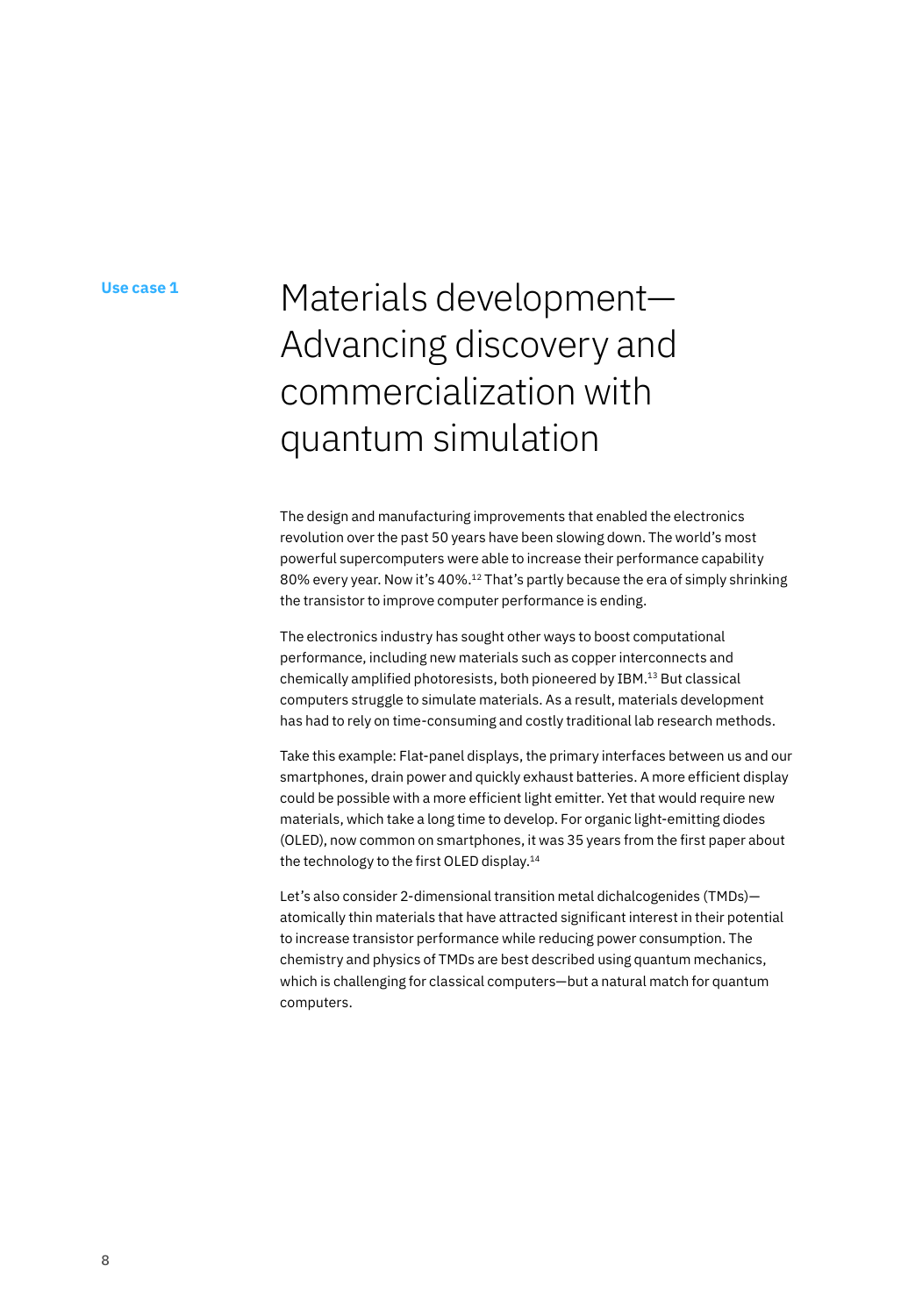#### **Use case 1**

# Materials development— Advancing discovery and commercialization with quantum simulation

The design and manufacturing improvements that enabled the electronics revolution over the past 50 years have been slowing down. The world's most powerful supercomputers were able to increase their performance capability 80% every year. Now it's 40%.<sup>12</sup> That's partly because the era of simply shrinking the transistor to improve computer performance is ending.

The electronics industry has sought other ways to boost computational performance, including new materials such as copper interconnects and chemically amplified photoresists, both pioneered by IBM.13 But classical computers struggle to simulate materials. As a result, materials development has had to rely on time-consuming and costly traditional lab research methods.

Take this example: Flat-panel displays, the primary interfaces between us and our smartphones, drain power and quickly exhaust batteries. A more efficient display could be possible with a more efficient light emitter. Yet that would require new materials, which take a long time to develop. For organic light-emitting diodes (OLED), now common on smartphones, it was 35 years from the first paper about the technology to the first OLED display.<sup>14</sup>

Let's also consider 2-dimensional transition metal dichalcogenides (TMDs) atomically thin materials that have attracted significant interest in their potential to increase transistor performance while reducing power consumption. The chemistry and physics of TMDs are best described using quantum mechanics, which is challenging for classical computers—but a natural match for quantum computers.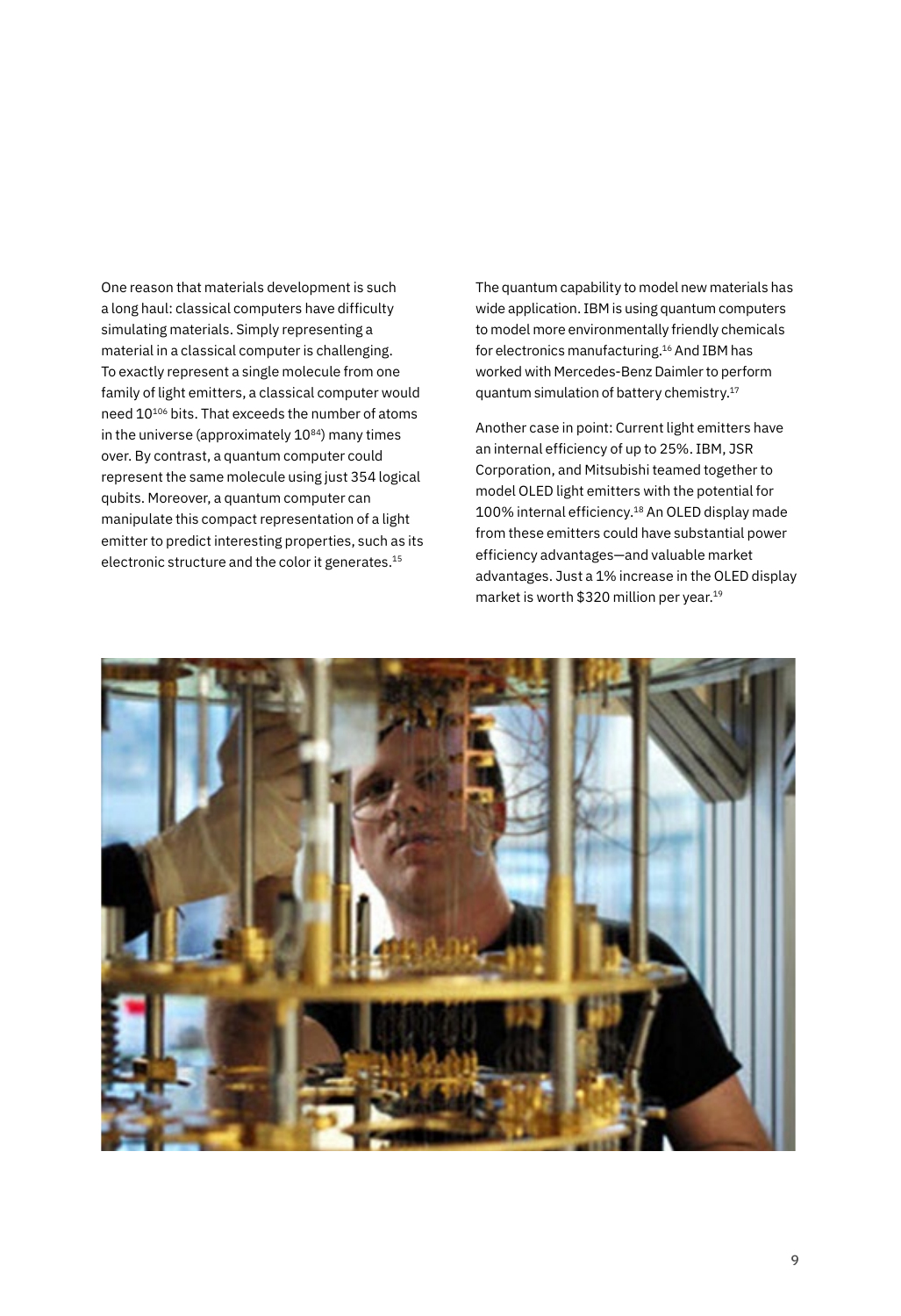One reason that materials development is such a long haul: classical computers have difficulty simulating materials. Simply representing a material in a classical computer is challenging. To exactly represent a single molecule from one family of light emitters, a classical computer would need 10<sup>106</sup> bits. That exceeds the number of atoms in the universe (approximately  $10^{84}$ ) many times over. By contrast, a quantum computer could represent the same molecule using just 354 logical qubits. Moreover, a quantum computer can manipulate this compact representation of a light emitter to predict interesting properties, such as its electronic structure and the color it generates.15

The quantum capability to model new materials has wide application. IBM is using quantum computers to model more environmentally friendly chemicals for electronics manufacturing.16 And IBM has worked with Mercedes-Benz Daimler to perform quantum simulation of battery chemistry.17

Another case in point: Current light emitters have an internal efficiency of up to 25%. IBM, JSR Corporation, and Mitsubishi teamed together to model OLED light emitters with the potential for 100% internal efficiency.18 An OLED display made from these emitters could have substantial power efficiency advantages—and valuable market advantages. Just a 1% increase in the OLED display market is worth \$320 million per year.19

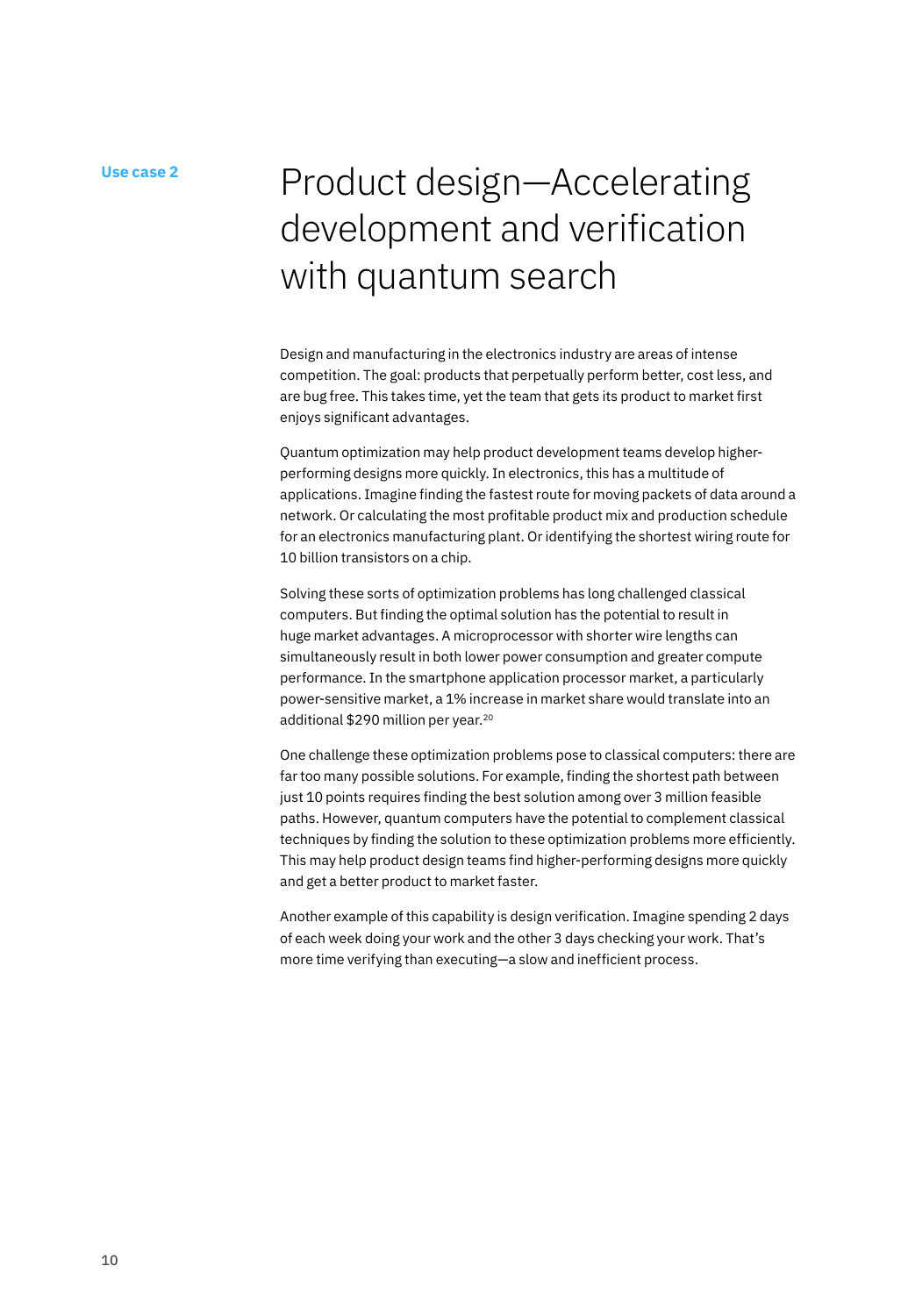# Product design—Accelerating development and verification with quantum search

Design and manufacturing in the electronics industry are areas of intense competition. The goal: products that perpetually perform better, cost less, and are bug free. This takes time, yet the team that gets its product to market first enjoys significant advantages.

Quantum optimization may help product development teams develop higherperforming designs more quickly. In electronics, this has a multitude of applications. Imagine finding the fastest route for moving packets of data around a network. Or calculating the most profitable product mix and production schedule for an electronics manufacturing plant. Or identifying the shortest wiring route for 10 billion transistors on a chip.

Solving these sorts of optimization problems has long challenged classical computers. But finding the optimal solution has the potential to result in huge market advantages. A microprocessor with shorter wire lengths can simultaneously result in both lower power consumption and greater compute performance. In the smartphone application processor market, a particularly power-sensitive market, a 1% increase in market share would translate into an additional \$290 million per year.20

One challenge these optimization problems pose to classical computers: there are far too many possible solutions. For example, finding the shortest path between just 10 points requires finding the best solution among over 3 million feasible paths. However, quantum computers have the potential to complement classical techniques by finding the solution to these optimization problems more efficiently. This may help product design teams find higher-performing designs more quickly and get a better product to market faster.

Another example of this capability is design verification. Imagine spending 2 days of each week doing your work and the other 3 days checking your work. That's more time verifying than executing—a slow and inefficient process.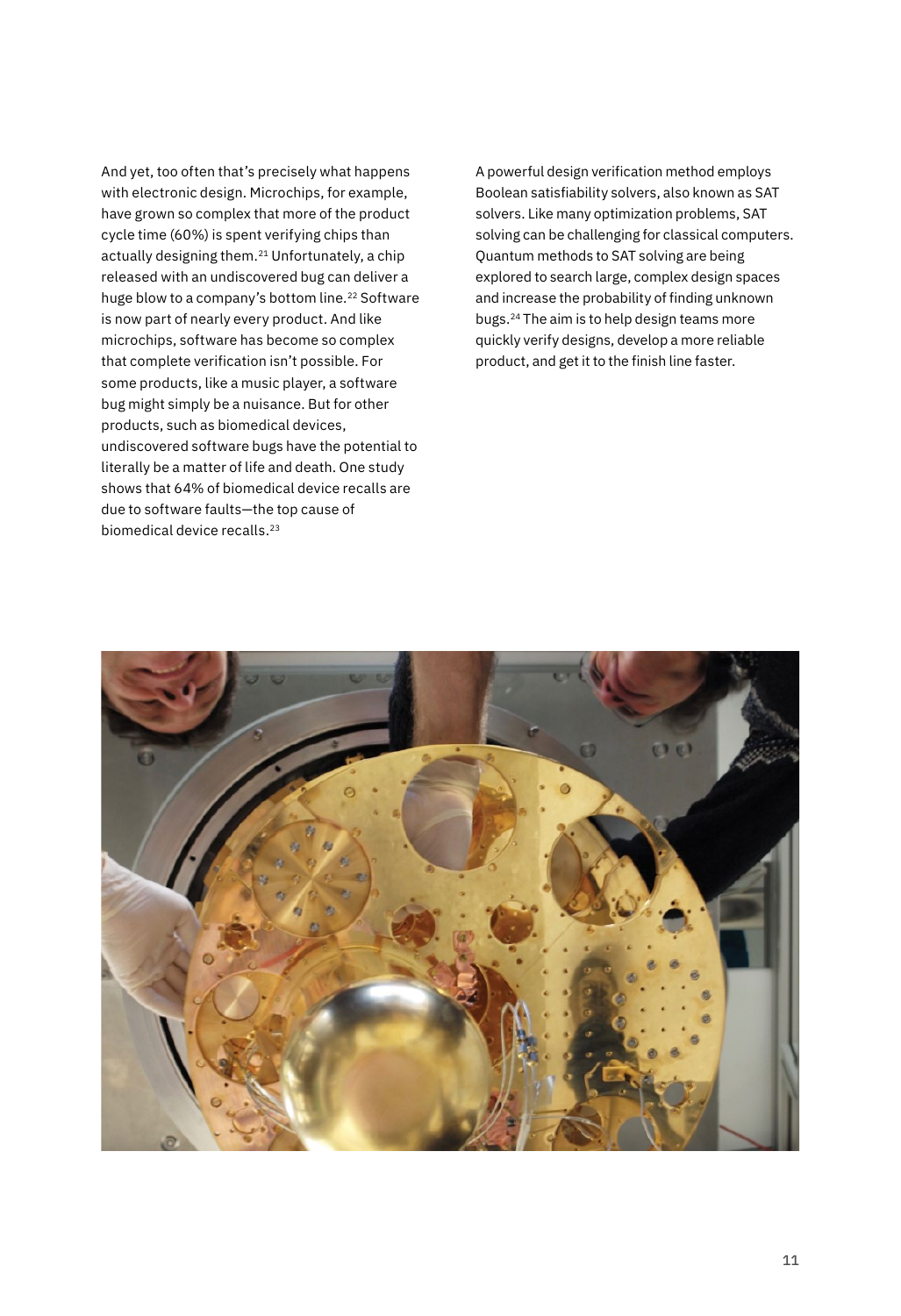And yet, too often that's precisely what happens with electronic design. Microchips, for example, have grown so complex that more of the product cycle time (60%) is spent verifying chips than actually designing them.21 Unfortunately, a chip released with an undiscovered bug can deliver a huge blow to a company's bottom line.<sup>22</sup> Software is now part of nearly every product. And like microchips, software has become so complex that complete verification isn't possible. For some products, like a music player, a software bug might simply be a nuisance. But for other products, such as biomedical devices, undiscovered software bugs have the potential to literally be a matter of life and death. One study shows that 64% of biomedical device recalls are due to software faults—the top cause of biomedical device recalls.<sup>23</sup>

A powerful design verification method employs Boolean satisfiability solvers, also known as SAT solvers. Like many optimization problems, SAT solving can be challenging for classical computers. Quantum methods to SAT solving are being explored to search large, complex design spaces and increase the probability of finding unknown bugs.24 The aim is to help design teams more quickly verify designs, develop a more reliable product, and get it to the finish line faster.

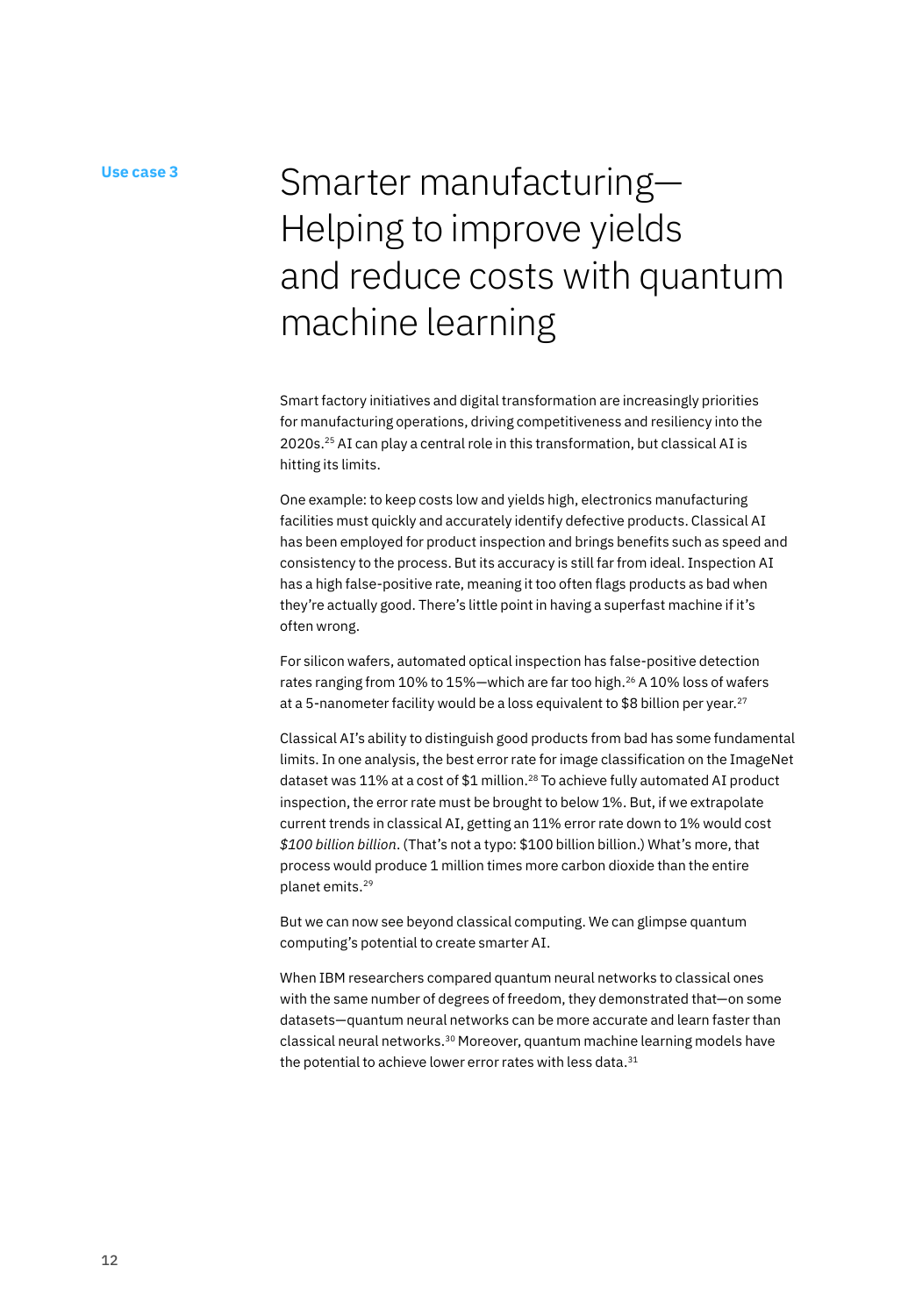# Use case 3<br>
Smarter manufacturing-Helping to improve yields and reduce costs with quantum machine learning

Smart factory initiatives and digital transformation are increasingly priorities for manufacturing operations, driving competitiveness and resiliency into the 2020s.25 AI can play a central role in this transformation, but classical AI is hitting its limits.

One example: to keep costs low and yields high, electronics manufacturing facilities must quickly and accurately identify defective products. Classical AI has been employed for product inspection and brings benefits such as speed and consistency to the process. But its accuracy is still far from ideal. Inspection AI has a high false-positive rate, meaning it too often flags products as bad when they're actually good. There's little point in having a superfast machine if it's often wrong.

For silicon wafers, automated optical inspection has false-positive detection rates ranging from 10% to 15%—which are far too high.<sup>26</sup> A 10% loss of wafers at a 5-nanometer facility would be a loss equivalent to \$8 billion per year.<sup>27</sup>

Classical AI's ability to distinguish good products from bad has some fundamental limits. In one analysis, the best error rate for image classification on the ImageNet dataset was 11% at a cost of \$1 million.<sup>28</sup> To achieve fully automated AI product inspection, the error rate must be brought to below 1%. But, if we extrapolate current trends in classical AI, getting an 11% error rate down to 1% would cost *\$100 billion billion*. (That's not a typo: \$100 billion billion.) What's more, that process would produce 1 million times more carbon dioxide than the entire planet emits.29

But we can now see beyond classical computing. We can glimpse quantum computing's potential to create smarter AI.

When IBM researchers compared quantum neural networks to classical ones with the same number of degrees of freedom, they demonstrated that—on some datasets—quantum neural networks can be more accurate and learn faster than classical neural networks.30 Moreover, quantum machine learning models have the potential to achieve lower error rates with less data.<sup>31</sup>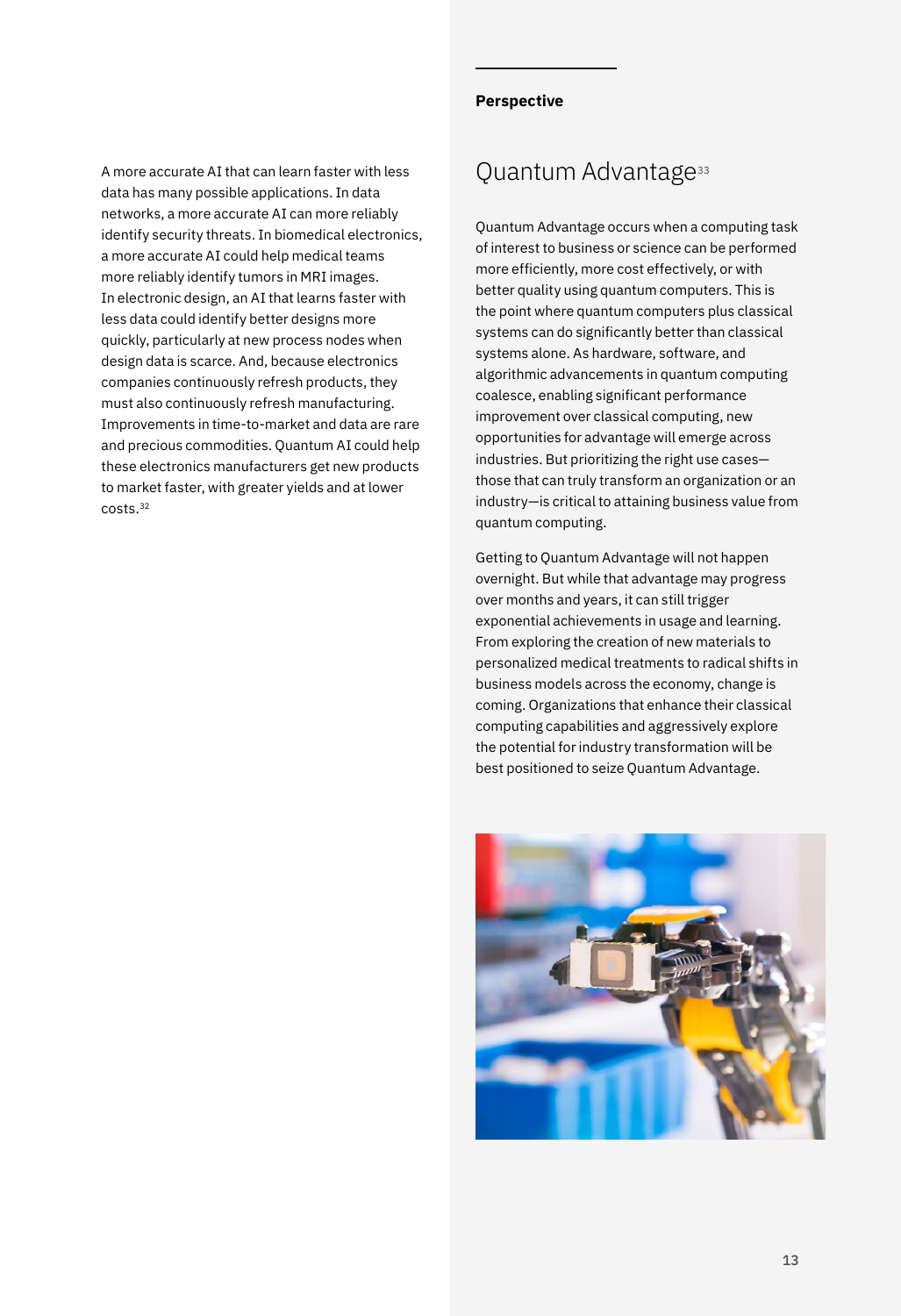A more accurate AI that can learn faster with less data has many possible applications. In data networks, a more accurate AI can more reliably identify security threats. In biomedical electronics, a more accurate AI could help medical teams more reliably identify tumors in MRI images. In electronic design, an AI that learns faster with less data could identify better designs more quickly, particularly at new process nodes when design data is scarce. And, because electronics companies continuously refresh products, they must also continuously refresh manufacturing. Improvements in time-to-market and data are rare and precious commodities. Quantum AI could help these electronics manufacturers get new products to market faster, with greater yields and at lower costs.32

#### **Perspective**

## Quantum Advantage<sup>33</sup>

Quantum Advantage occurs when a computing task of interest to business or science can be performed more efficiently, more cost effectively, or with better quality using quantum computers. This is the point where quantum computers plus classical systems can do significantly better than classical systems alone. As hardware, software, and algorithmic advancements in quantum computing coalesce, enabling significant performance improvement over classical computing, new opportunities for advantage will emerge across industries. But prioritizing the right use cases those that can truly transform an organization or an industry—is critical to attaining business value from quantum computing.

Getting to Quantum Advantage will not happen overnight. But while that advantage may progress over months and years, it can still trigger exponential achievements in usage and learning. From exploring the creation of new materials to personalized medical treatments to radical shifts in business models across the economy, change is coming. Organizations that enhance their classical computing capabilities and aggressively explore the potential for industry transformation will be best positioned to seize Quantum Advantage.

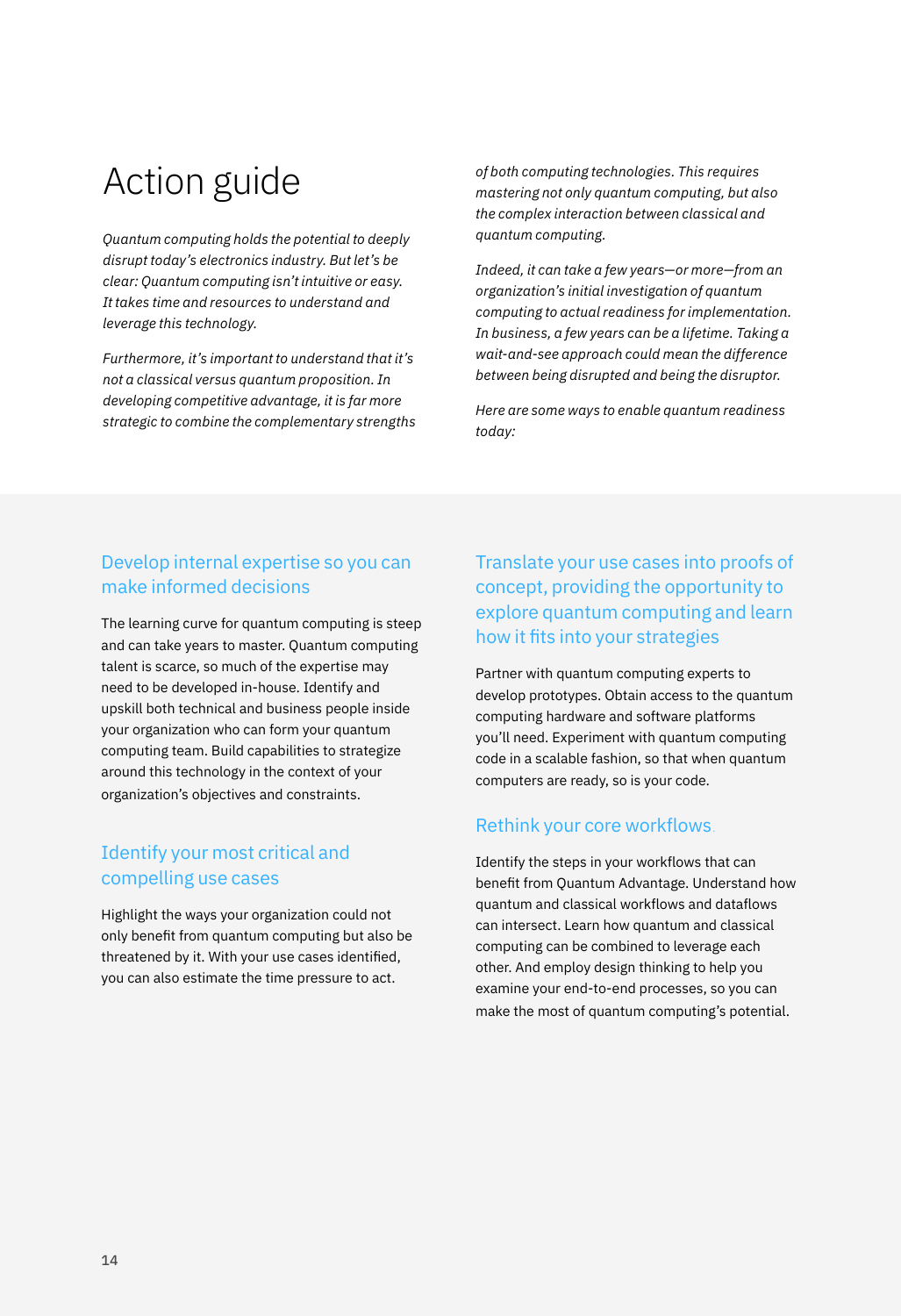# Action guide

*Quantum computing holds the potential to deeply disrupt today's electronics industry. But let's be clear: Quantum computing isn't intuitive or easy. It takes time and resources to understand and leverage this technology.*

*Furthermore, it's important to understand that it's not a classical versus quantum proposition. In developing competitive advantage, it is far more strategic to combine the complementary strengths*  *of both computing technologies. This requires mastering not only quantum computing, but also the complex interaction between classical and quantum computing.*

*Indeed, it can take a few years—or more—from an organization's initial investigation of quantum computing to actual readiness for implementation. In business, a few years can be a lifetime. Taking a wait-and-see approach could mean the difference between being disrupted and being the disruptor.* 

*Here are some ways to enable quantum readiness today:*

### Develop internal expertise so you can make informed decisions

The learning curve for quantum computing is steep and can take years to master. Quantum computing talent is scarce, so much of the expertise may need to be developed in-house. Identify and upskill both technical and business people inside your organization who can form your quantum computing team. Build capabilities to strategize around this technology in the context of your organization's objectives and constraints.

### Identify your most critical and compelling use cases

Highlight the ways your organization could not only benefit from quantum computing but also be threatened by it. With your use cases identified, you can also estimate the time pressure to act.

### Translate your use cases into proofs of concept, providing the opportunity to explore quantum computing and learn how it fits into your strategies

Partner with quantum computing experts to develop prototypes. Obtain access to the quantum computing hardware and software platforms you'll need. Experiment with quantum computing code in a scalable fashion, so that when quantum computers are ready, so is your code.

### Rethink your core workflows.

Identify the steps in your workflows that can benefit from Quantum Advantage. Understand how quantum and classical workflows and dataflows can intersect. Learn how quantum and classical computing can be combined to leverage each other. And employ design thinking to help you examine your end-to-end processes, so you can make the most of quantum computing's potential.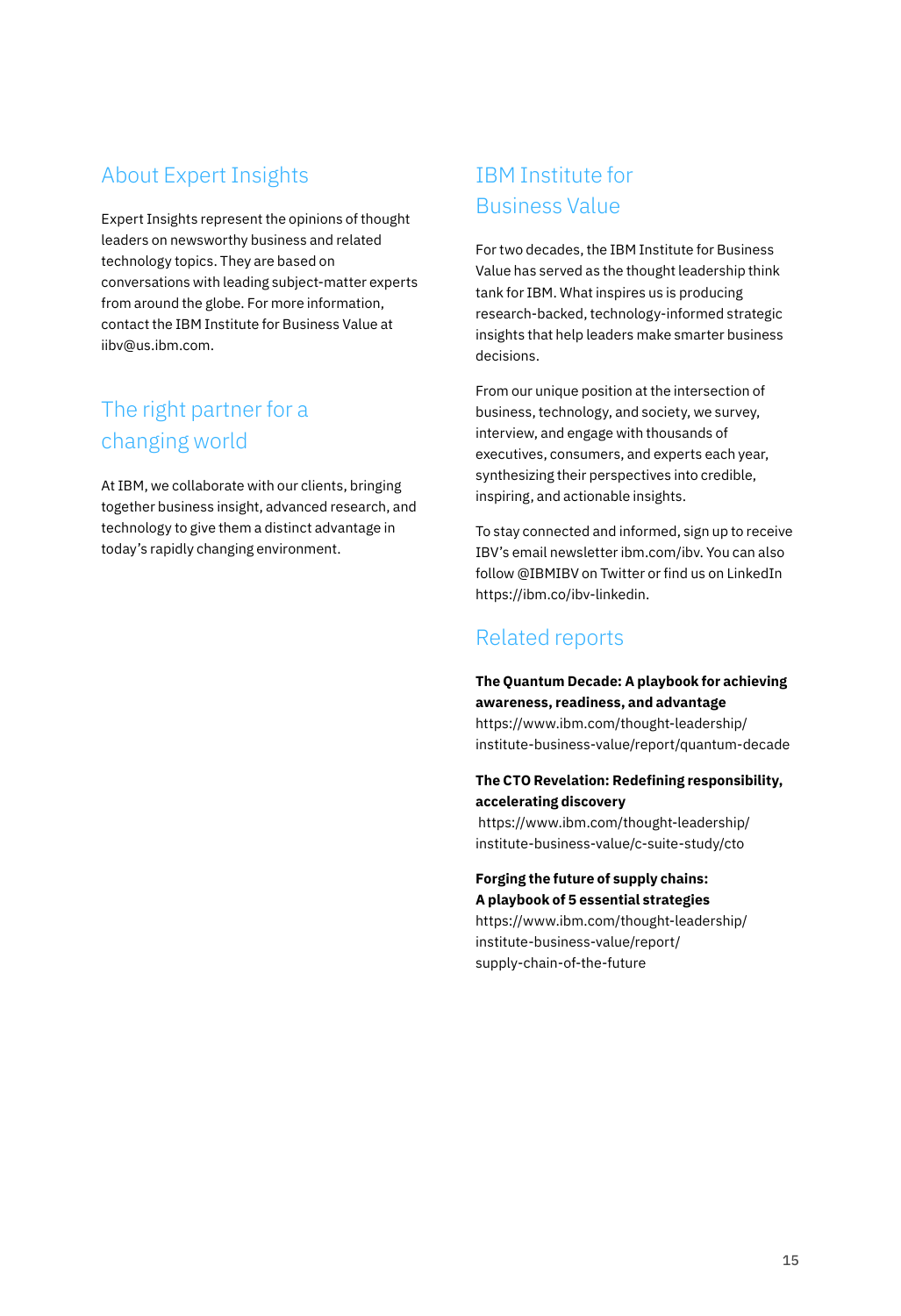### About Expert Insights

Expert Insights represent the opinions of thought leaders on newsworthy business and related technology topics. They are based on conversations with leading subject-matter experts from around the globe. For more information, contact the IBM Institute for Business Value at [iibv@us.ibm.com.](mailto:iibv%40us.ibm.com?subject=)

# The right partner for a changing world

At IBM, we collaborate with our clients, bringing together business insight, advanced research, and technology to give them a distinct advantage in today's rapidly changing environment.

# IBM Institute for Business Value

For two decades, the IBM Institute for Business Value has served as the thought leadership think tank for IBM. What inspires us is producing research-backed, technology-informed strategic insights that help leaders make smarter business decisions.

From our unique position at the intersection of business, technology, and society, we survey, interview, and engage with thousands of executives, consumers, and experts each year, synthesizing their perspectives into credible, inspiring, and actionable insights.

To stay connected and informed, sign up to receive IBV's email newsletter [ibm.com/ibv.](mailto:iibv%40us.ibm.com?subject=) You can also follow [@IBMIBV](http://twitter.com/IBMIBV) on Twitter or find us on LinkedIn <https://ibm.co/ibv-linkedin>.

### Related reports

#### **The Quantum Decade: A playbook for achieving awareness, readiness, and advantage**

[https://www.ibm.com/thought-leadership/](https://www.ibm.com/thought-leadership/institute-business-value/report/quantum-decade) [institute-business-value/report/quantum-decade](https://www.ibm.com/thought-leadership/institute-business-value/report/quantum-decade)

### **The CTO Revelation: Redefining responsibility, accelerating discovery**

[https://www.ibm.com/thought-leadership/](https://www.ibm.com/thought-leadership/institute-business-value/c-suite-study/cto) [institute-business-value/c-suite-study/cto](https://www.ibm.com/thought-leadership/institute-business-value/c-suite-study/cto)

**Forging the future of supply chains: A playbook of 5 essential strategies**

[https://www.ibm.com/thought-leadership/](https://www.ibm.com/thought-leadership/institute-business-value/report/supply-chain-of-the-future) [institute-business-value/report/](https://www.ibm.com/thought-leadership/institute-business-value/report/supply-chain-of-the-future) [supply-chain-of-the-future](https://www.ibm.com/thought-leadership/institute-business-value/report/supply-chain-of-the-future)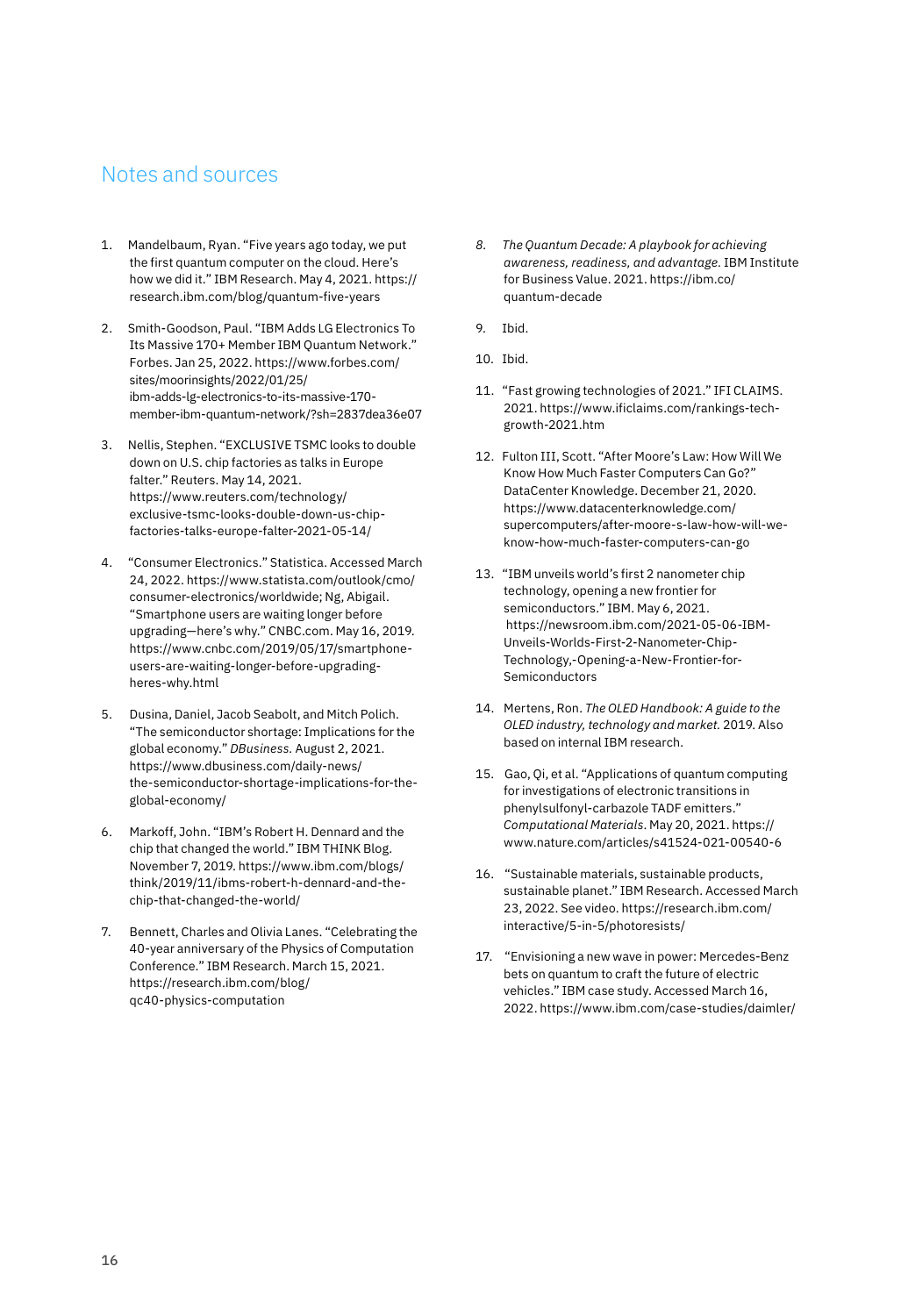### Notes and sources

- 1. Mandelbaum, Ryan. "Five years ago today, we put the first quantum computer on the cloud. Here's how we did it." IBM Research. May 4, 2021. [https://](https://research.ibm.com/blog/quantum-five-years) [research.ibm.com/blog/quantum-five-years](https://research.ibm.com/blog/quantum-five-years)
- 2. Smith-Goodson, Paul. "IBM Adds LG Electronics To Its Massive 170+ Member IBM Quantum Network." Forbes. Jan 25, 2022. [https://www.forbes.com/](https://www.forbes.com/sites/moorinsights/2022/01/25/ibm-adds-lg-electronics-to-its-massive-170-member-ibm-quantum-network/?sh=2837dea36e07) [sites/moorinsights/2022/01/25/](https://www.forbes.com/sites/moorinsights/2022/01/25/ibm-adds-lg-electronics-to-its-massive-170-member-ibm-quantum-network/?sh=2837dea36e07) [ibm-adds-lg-electronics-to-its-massive-170](https://www.forbes.com/sites/moorinsights/2022/01/25/ibm-adds-lg-electronics-to-its-massive-170-member-ibm-quantum-network/?sh=2837dea36e07) [member-ibm-quantum-network/?sh=2837dea36e07](https://www.forbes.com/sites/moorinsights/2022/01/25/ibm-adds-lg-electronics-to-its-massive-170-member-ibm-quantum-network/?sh=2837dea36e07)
- 3. Nellis, Stephen. "EXCLUSIVE TSMC looks to double down on U.S. chip factories as talks in Europe falter." Reuters. May 14, 2021. [https://www.reuters.com/technology/](https://www.reuters.com/technology/exclusive-tsmc-looks-double-down-us-chip-factories-talks-europe-falter-2021-05-14/) [exclusive-tsmc-looks-double-down-us-chip](https://www.reuters.com/technology/exclusive-tsmc-looks-double-down-us-chip-factories-talks-europe-falter-2021-05-14/)[factories-talks-europe-falter-2021-05-14/](https://www.reuters.com/technology/exclusive-tsmc-looks-double-down-us-chip-factories-talks-europe-falter-2021-05-14/)
- 4. "Consumer Electronics." Statistica. Accessed March 24, 2022. [https://www.statista.com/outlook/cmo/](https://www.statista.com/outlook/cmo/consumer-electronics/worldwide) [consumer-electronics/worldwide](https://www.statista.com/outlook/cmo/consumer-electronics/worldwide); Ng, Abigail. "Smartphone users are waiting longer before upgrading—here's why." [CNBC.com](http://CNBC.com). May 16, 2019. [https://www.cnbc.com/2019/05/17/smartphone](https://www.cnbc.com/2019/05/17/smartphone-users-are-waiting-longer-before-upgrading-heres-why.html)[users-are-waiting-longer-before-upgrading](https://www.cnbc.com/2019/05/17/smartphone-users-are-waiting-longer-before-upgrading-heres-why.html)[heres-why.html](https://www.cnbc.com/2019/05/17/smartphone-users-are-waiting-longer-before-upgrading-heres-why.html)
- 5. Dusina, Daniel, Jacob Seabolt, and Mitch Polich. "The semiconductor shortage: Implications for the global economy." *DBusiness.* August 2, 2021. [https://www.dbusiness.com/daily-news/](https://www.dbusiness.com/daily-news/the-semiconductor-shortage-implications-for-the-global-economy/) [the-semiconductor-shortage-implications-for-the](https://www.dbusiness.com/daily-news/the-semiconductor-shortage-implications-for-the-global-economy/)[global-economy/](https://www.dbusiness.com/daily-news/the-semiconductor-shortage-implications-for-the-global-economy/)
- 6. Markoff, John. "IBM's Robert H. Dennard and the chip that changed the world." IBM THINK Blog. November 7, 2019. [https://www.ibm.com/blogs/](https://www.ibm.com/blogs/think/2019/11/ibms-robert-h-dennard-and-the-chip-that-changed-the-world/) [think/2019/11/ibms-robert-h-dennard-and-the](https://www.ibm.com/blogs/think/2019/11/ibms-robert-h-dennard-and-the-chip-that-changed-the-world/)[chip-that-changed-the-world/](https://www.ibm.com/blogs/think/2019/11/ibms-robert-h-dennard-and-the-chip-that-changed-the-world/)
- 7. Bennett, Charles and Olivia Lanes. "Celebrating the 40-year anniversary of the Physics of Computation Conference." IBM Research. March 15, 2021. [https://research.ibm.com/blog/](https://research.ibm.com/blog/qc40-physics-computation) [qc40-physics-computation](https://research.ibm.com/blog/qc40-physics-computation)
- *8. The Quantum Decade: A playbook for achieving awareness, readiness, and advantage.* IBM Institute for Business Value. 2021. [https://ibm.co/](https://ibm.co/quantum-decade) [quantum-decade](https://ibm.co/quantum-decade)
- 9. Ibid.
- 10. Ibid.
- 11. "Fast growing technologies of 2021." IFI CLAIMS. 2021. [https://www.ificlaims.com/rankings-tech](https://www.ificlaims.com/rankings-tech-growth-2021.htm)[growth-2021.htm](https://www.ificlaims.com/rankings-tech-growth-2021.htm)
- 12. Fulton III, Scott. "After Moore's Law: How Will We Know How Much Faster Computers Can Go?" DataCenter Knowledge. December 21, 2020. [https://www.datacenterknowledge.com/](https://www.datacenterknowledge.com/supercomputers/after-moore-s-law-how-will-we-know-how-much-faster-computers-can-go) [supercomputers/after-moore-s-law-how-will-we](https://www.datacenterknowledge.com/supercomputers/after-moore-s-law-how-will-we-know-how-much-faster-computers-can-go)[know-how-much-faster-computers-can-go](https://www.datacenterknowledge.com/supercomputers/after-moore-s-law-how-will-we-know-how-much-faster-computers-can-go)
- 13. "IBM unveils world's first 2 nanometer chip technology, opening a new frontier for semiconductors." IBM. May 6, 2021. [https://newsroom.ibm.com/2021-05-06-IBM-](https://newsroom.ibm.com/2021-05-06-IBM-Unveils-Worlds-First-2-Nanometer-Chip-Technology,-Opening-a-New-Frontier-for-Semiconductors)[Unveils-Worlds-First-2-Nanometer-Chip-](https://newsroom.ibm.com/2021-05-06-IBM-Unveils-Worlds-First-2-Nanometer-Chip-Technology,-Opening-a-New-Frontier-for-Semiconductors)[Technology,-Opening-a-New-Frontier-for-](https://newsroom.ibm.com/2021-05-06-IBM-Unveils-Worlds-First-2-Nanometer-Chip-Technology,-Opening-a-New-Frontier-for-Semiconductors)[Semiconductors](https://newsroom.ibm.com/2021-05-06-IBM-Unveils-Worlds-First-2-Nanometer-Chip-Technology,-Opening-a-New-Frontier-for-Semiconductors)
- 14. Mertens, Ron. *The OLED Handbook: A guide to the OLED industry, technology and market.* 2019. Also based on internal IBM research.
- 15. Gao, Qi, et al. "Applications of quantum computing for investigations of electronic transitions in phenylsulfonyl-carbazole TADF emitters." *Computational Materials*. May 20, 2021. [https://](https://www.nature.com/articles/s41524-021-00540-6) [www.nature.com/articles/s41524-021-00540-6](https://www.nature.com/articles/s41524-021-00540-6)
- 16. "Sustainable materials, sustainable products, sustainable planet." IBM Research. Accessed March 23, 2022. See video. [https://research.ibm.com/](https://research.ibm.com/interactive/5-in-5/photoresists/) [interactive/5-in-5/photoresists/](https://research.ibm.com/interactive/5-in-5/photoresists/)
- 17. "Envisioning a new wave in power: Mercedes-Benz bets on quantum to craft the future of electric vehicles." IBM case study. Accessed March 16, 2022.<https://www.ibm.com/case-studies/daimler/>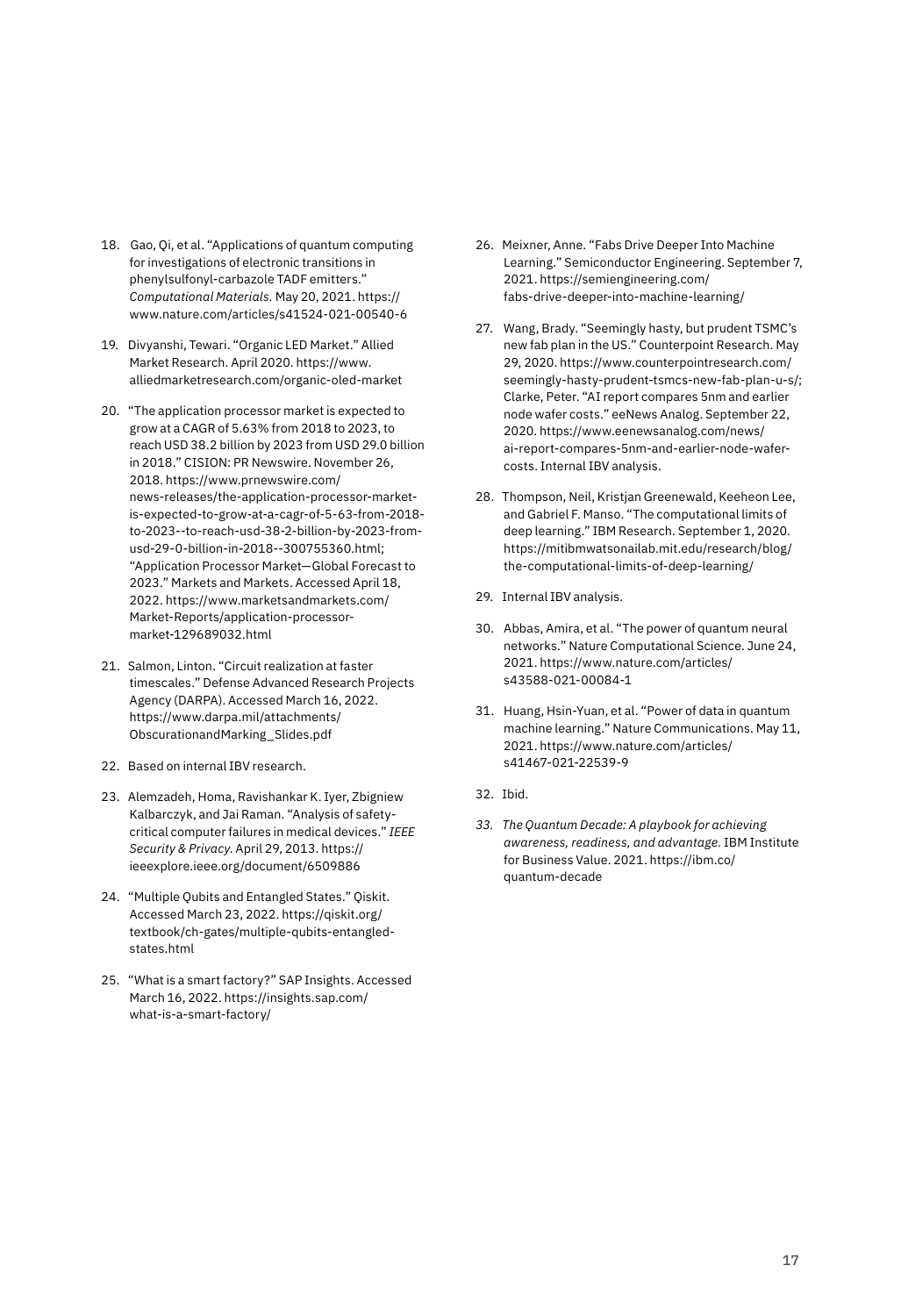- 18. Gao, Qi, et al. "Applications of quantum computing for investigations of electronic transitions in phenylsulfonyl-carbazole TADF emitters." *Computational Materials.* May 20, 2021. [https://](https://www.nature.com/articles/s41524-021-00540-6) [www.nature.com/articles/s41524-021-00540-6](https://www.nature.com/articles/s41524-021-00540-6)
- 19. Divyanshi, Tewari. "Organic LED Market." Allied Market Research. April 2020. [https://www.](https://www.alliedmarketresearch.com/organic-oled-market) [alliedmarketresearch.com/organic-oled-market](https://www.alliedmarketresearch.com/organic-oled-market)
- 20. "The application processor market is expected to grow at a CAGR of 5.63% from 2018 to 2023, to reach USD 38.2 billion by 2023 from USD 29.0 billion in 2018." CISION: PR Newswire. November 26, 2018. [https://www.prnewswire.com/](https://www.prnewswire.com/news-releases/the-application-processor-market-is-expected-to-grow-at-a-cagr-of-5-63-from-2018-to-2023--to-reach-usd-38-2-billion-by-2023-from-usd-29-0-billion-in-2018--300755360.html) [news-releases/the-application-processor-market](https://www.prnewswire.com/news-releases/the-application-processor-market-is-expected-to-grow-at-a-cagr-of-5-63-from-2018-to-2023--to-reach-usd-38-2-billion-by-2023-from-usd-29-0-billion-in-2018--300755360.html)[is-expected-to-grow-at-a-cagr-of-5-63-from-2018](https://www.prnewswire.com/news-releases/the-application-processor-market-is-expected-to-grow-at-a-cagr-of-5-63-from-2018-to-2023--to-reach-usd-38-2-billion-by-2023-from-usd-29-0-billion-in-2018--300755360.html) [to-2023--to-reach-usd-38-2-billion-by-2023-from](https://www.prnewswire.com/news-releases/the-application-processor-market-is-expected-to-grow-at-a-cagr-of-5-63-from-2018-to-2023--to-reach-usd-38-2-billion-by-2023-from-usd-29-0-billion-in-2018--300755360.html)[usd-29-0-billion-in-2018--300755360.html;](https://www.prnewswire.com/news-releases/the-application-processor-market-is-expected-to-grow-at-a-cagr-of-5-63-from-2018-to-2023--to-reach-usd-38-2-billion-by-2023-from-usd-29-0-billion-in-2018--300755360.html) "Application Processor Market—Global Forecast to 2023." Markets and Markets. Accessed April 18, 2022. [https://www.marketsandmarkets.com/](https://www.marketsandmarkets.com/Market-Reports/application-processor-market-129689032.html) [Market-Reports/application-processor](https://www.marketsandmarkets.com/Market-Reports/application-processor-market-129689032.html)[market-129689032.html](https://www.marketsandmarkets.com/Market-Reports/application-processor-market-129689032.html)
- 21. Salmon, Linton. "Circuit realization at faster timescales." Defense Advanced Research Projects Agency (DARPA). Accessed March 16, 2022. [https://www.darpa.mil/attachments/](https://www.darpa.mil/attachments/ObscurationandMarking_Slides.pdf) [ObscurationandMarking\\_Slides.pdf](https://www.darpa.mil/attachments/ObscurationandMarking_Slides.pdf)
- 22. Based on internal IBV research.
- 23. Alemzadeh, Homa, Ravishankar K. Iyer, Zbigniew Kalbarczyk, and Jai Raman. "Analysis of safetycritical computer failures in medical devices." *IEEE Security & Privacy*. April 29, 2013. [https://](https://ieeexplore.ieee.org/document/6509886) [ieeexplore.ieee.org/document/6509886](https://ieeexplore.ieee.org/document/6509886)
- 24. "Multiple Qubits and Entangled States." Qiskit. Accessed March 23, 2022. [https://qiskit.org/](https://qiskit.org/textbook/ch-gates/multiple-qubits-entangled-states.html) [textbook/ch-gates/multiple-qubits-entangled](https://qiskit.org/textbook/ch-gates/multiple-qubits-entangled-states.html)[states.html](https://qiskit.org/textbook/ch-gates/multiple-qubits-entangled-states.html)
- 25. "What is a smart factory?" SAP Insights. Accessed March 16, 2022. [https://insights.sap.com/](https://insights.sap.com/what-is-a-smart-factory/) [what-is-a-smart-factory/](https://insights.sap.com/what-is-a-smart-factory/)
- 26. Meixner, Anne. "Fabs Drive Deeper Into Machine Learning." Semiconductor Engineering. September 7, 2021. [https://semiengineering.com/](https://semiengineering.com/fabs-drive-deeper-into-machine-learning/) [fabs-drive-deeper-into-machine-learning/](https://semiengineering.com/fabs-drive-deeper-into-machine-learning/)
- 27. Wang, Brady. "Seemingly hasty, but prudent TSMC's new fab plan in the US." Counterpoint Research. May 29, 2020. [https://www.counterpointresearch.com/](https://www.counterpointresearch.com/seemingly-hasty-prudent-tsmcs-new-fab-plan-u-s/) [seemingly-hasty-prudent-tsmcs-new-fab-plan-u-s/;](https://www.counterpointresearch.com/seemingly-hasty-prudent-tsmcs-new-fab-plan-u-s/) Clarke, Peter. "AI report compares 5nm and earlier node wafer costs." eeNews Analog. September 22, 2020. [https://www.eenewsanalog.com/news/](https://www.eenewsanalog.com/news/ai-report-compares-5nm-and-earlier-node-wafer-costs) [ai-report-compares-5nm-and-earlier-node-wafer](https://www.eenewsanalog.com/news/ai-report-compares-5nm-and-earlier-node-wafer-costs)[costs.](https://www.eenewsanalog.com/news/ai-report-compares-5nm-and-earlier-node-wafer-costs) Internal IBV analysis.
- 28. Thompson, Neil, Kristjan Greenewald, Keeheon Lee, and Gabriel F. Manso. "The computational limits of deep learning." IBM Research. September 1, 2020. [https://mitibmwatsonailab.mit.edu/research/blog/](https://mitibmwatsonailab.mit.edu/research/blog/the-computational-limits-of-deep-learning/) [the-computational-limits-of-deep-learning/](https://mitibmwatsonailab.mit.edu/research/blog/the-computational-limits-of-deep-learning/)
- 29. Internal IBV analysis.
- 30. Abbas, Amira, et al. "The power of quantum neural networks." Nature Computational Science. June 24, 2021. [https://www.nature.com/articles/](https://www.nature.com/articles/s43588-021-00084-1) [s43588-021-00084-1](https://www.nature.com/articles/s43588-021-00084-1)
- 31. Huang, Hsin-Yuan, et al. "Power of data in quantum machine learning." Nature Communications. May 11, 2021. [https://www.nature.com/articles/](https://www.nature.com/articles/s41467-021-22539-9) [s41467-021-22539-9](https://www.nature.com/articles/s41467-021-22539-9)
- 32. Ibid.
- *33. The Quantum Decade: A playbook for achieving awareness, readiness, and advantage.* IBM Institute for Business Value. 2021. [https://ibm.co/](https://ibm.co/quantum-decade) [quantum-decade](https://ibm.co/quantum-decade)